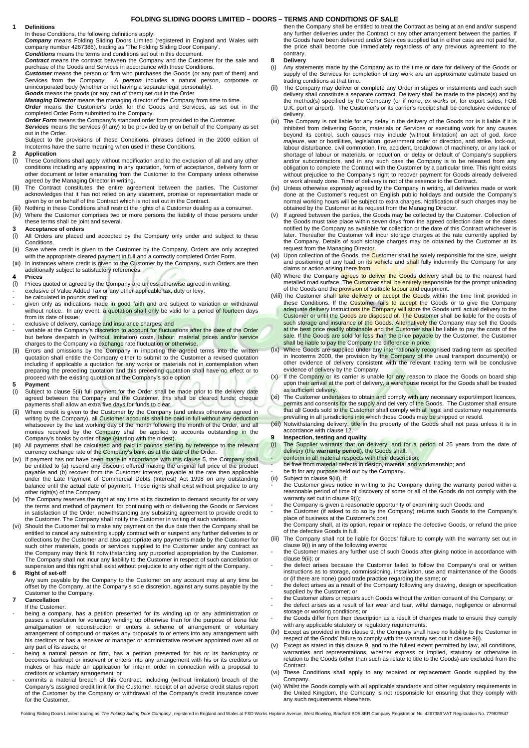# **FOLDING SLIDING DOORS LIMITED – DOORS – TERMS AND CONDITIONS OF SALE**

**1 Definitions** 

 In these Conditions, the following definitions apply: **Company** means Folding Sliding Doors Limited (registered in England and Wales with company number 4267386), trading as 'The Folding Sliding Door Company'.

**Conditions** means the terms and conditions set out in this document. **Contract** means the contract between the Company and the Customer for the sale and purchase of the Goods and Services in accordance with these Conditions.

**Customer** means the person or firm who purchases the Goods (or any part of them) and<br>Services from the Company. A **person** includes a natural person, corporate or<br>unincorporated body (whether or not having a separate lega

**Goods** means the goods (or any part of them) set out in the Order.<br> **Managing Director** means the managing director of the Company from time to time.<br> **Order** means the Customer's order for the Goods and Services, as set

out in the Order.

Subject to the provisions of these Conditions, phrases defined in the 2000 edition of Incoterms have the same meaning when used in these Conditions.

### **2 Application**

- (i) These Conditions shall apply without modification and to the exclusion of all and any other conditions including any appearing in any quotation, form of acceptance, delivery form or other document or letter emanating from the Customer to the Company unless otherwise agreed by the Managing Director in writing.
- (ii) The Contract constitutes the entire agreement between the parties. The Customer acknowledges that it has not relied on any statement, promise or representation made or given by or on behalf of the Contract which is not set out in the Contract.
- (iii) Nothing in these Conditions shall restrict the rights of a Customer dealing as a consumer. (iv) Where the Customer comprises two or more persons the liability of those persons under
- these terms shall be joint and several.

# **3 Acceptance of orders**

- (i) All Orders are placed and accepted by the Company only under and subject to these Conditions.
- (ii) Save where credit is given to the Customer by the Company, Orders are only accepted with the appropriate cleared payment in full and a correctly completed Order Form.
- (iii) In instances where credit is given to the Customer by the Company, such Orders are then additionally subject to satisfactory references.

# **4 Prices**

- (i) Prices quoted or agreed by the Company are unless otherwise agreed in writing:
- exclusive of Value Added Tax or any other applicable tax, duty or levy;
- 
- be calculated in pounds sterling;<br>- given only as indications made in good faith and are subject to variation or withdrawal without notice. In any event, a quotation shall only be valid for a period of fourteen days from its date of issue;
- exclusive of delivery, carriage and insurance charges; and
- variable at the Company's discretion to account for fluctuations after the date of the Order<br>but before despatch in (without limitation) costs, labour, material prices and/or service charges to the Company via exchange rate fluctuation or otherwise.
- (ii) Errors and omissions by the Company in importing the agreed terms into the written quotation shall entitle the Company either to submit to the Customer a revised quotation including if applicable a quotation for any w preparing the preceding quotation and this preceding quotation shall have no effect or to proceed with the existing quotation at the Company's sole option.

# **5 Payment** (i) **Subject to**

- Subject to clause 5(ii) full payment for the Order shall be made prior to the delivery date agreed between the Company and the Customer, this shall be cleared funds; cheque payments shall allow an extra five days for funds to clear.
- (ii) Where credit is given to the Customer by the Company (and unless otherwise agreed in writing by the Company), all Customer accounts shall be paid in full without any deduction whatsoever by the last working day of the month following the month of the Order, and all<br>monies received by the Company shall be applied to accounts outstanding in the Company's books by order of age (starting with the oldest).
- (iii) All payments shall be calculated and paid in pounds sterling by reference to the relevant currency exchange rate of the Company's bank as at the date of the Order.
- (iv) If payment has not have been made in accordance with this clause 5, the Company shall be entitled to (a) rescind any discount offered making the original full price of the product payable and (b) recover from the Customer interest, payable at the rate then applicable<br>under the Late Payment of Commercial Debts (Interest) Act 1998 on any outstanding<br>balance until the actual date of payment. These righ other right(s) of the Company.
- (v) The Company reserves the right at any time at its discretion to demand security for or vary the terms and method of payment, for continuing with or delivering the Goods or Services
- in satisfaction of the Order, notwithstanding any subsisting agreement to provide credit to<br>the Customer. The Company shall notify the Customer in writing of such variations.<br>(vi) Should the Customer fail to make any payme collections by the Customer and also appropriate any payments made by the Customer for such other materials, goods or services supplied to the Customer under any contract as the Company may think fit notwithstanding any purported appropriation by the Customer. The Company shall not incur any liability to the Customer in respect of such cancellation or suspension and this right shall exist without prejudice to any other right of the Company.

#### **6 Right of set-off**

 Any sum payable by the Company to the Customer on any account may at any time be offset by the Company, at the Company's sole discretion, against any sums payable by the Customer to the Company.

#### **7 Cancellation**  If the Customer:

- being a company, has a petition presented for its winding up or any administration or passes a resolution for voluntary winding up otherwise than for the purpose of *bona fide*<br>amalgamation or reconstruction or enters a scheme of arrangement or voluntary arrangement of compound or makes any proposals to or enters into any arrangement with his creditors or has a receiver or manager or administrative receiver appointed over all or any part of its assets; or
- being a natural person or firm, has a petition presented for his or its bankruptcy or becomes bankrupt or insolvent or enters into any arrangement with his or its creditors or makes or has made an application for interim order in connection with a proposal to creditors or voluntary arrangement; or
- commits a material breach of this Contract, including (without limitation) breach of the Company's assigned credit limit for the Customer, receipt of an adverse credit status report of the Customer by the Company or withdrawal of the Company's credit insurance cover for the Customer,

 then the Company shall be entitled to treat the Contract as being at an end and/or suspend any further deliveries under the Contract or any other arrangement between the parties. If the Goods have been delivered and/or Services supplied but in either case are not paid for, the price shall become due immediately regardless of any previous agreement to the contrary.

- **8 Delivery**  Any statements made by the Company as to the time or date for delivery of the Goods or supply of the Services for completion of any work are an approximate estimate based on trading conditions at that time.
- (ii) The Company may deliver or complete any Order in stages or instalments and each such delivery shall constitute a separate contract. Delivery shall be made to the place(s) and by the method(s) specified by the Company (or if none, ex works or, for export sales, FOB U.K. port or airport). The Customer's or its carrier's receipt shall be conclusive evidence of delivery.
- (iii) The Company is not liable for any delay in the delivery of the Goods nor is it liable if it is inhibited from delivering Goods, materials or Services or executing work for any causes beyond its control, such causes m majeure, war or hostilities, legislation, government order or direction, and strike, lock-out, labour disturbance, civil commotion, fire, accident, breakdown of machinery, or any lack or shortage of labour or materials, or reduction, or delay or default of Company's suppliers and/or subcontractors, and in any such case the Company is to be released from any obligation to complete the Contract with the Customer by a particular time. This right exists without prejudice to the Company's right to recover payment for Goods already delivered or work already done. Time of delivery is not of the essence to the Contract.
- (iv) Unless otherwise expressly agreed by the Company in writing, all deliveries made or work done at the Customer's request on English public holidays and outside the Company's normal working hours will be subject to extra charges. Notification of such charges may be obtained by the Customer at its request from the Managing Director.
- (v) If agreed between the parties, the Goods may be collected by the Customer. Collection of the Goods must take place within seven days from the agreed collection date or the dates notified by the Company as available for collection or the date of this Contract whichever is later. Thereafter the Customer will incur storage charges at the rate currently applied by the Company. Details of such storage charges may be obtained by the Customer at its request from the Managing Director.
- (vi) Upon collection of the Goods, the Customer shall be solely responsible for the size, weight<br>and positioning of any load on its vehicle and shall fully indemnify the Company for any claims or action arising there from.
- (vii) Where the Company agrees to deliver the Goods delivery shall be to the nearest hard<br>metalled road surface. The Customer shall be entirely responsible for the prompt unloading of the Goods and the provision of suitable labour and equipment.
- (viii) The Customer shall take delivery or accept the Goods within the time limit provided in these Conditions. If the Customer fails to accept the Goods or to give the Company<br>adequate delivery instructions the Company will store the Goods until actual delivery to the<br>Customer or until the Goods are disposed of. T such storage and insurance of the Goods. Alternatively the Company may sell the Goods<br>at the best price readily obtainable and the Customer shall be liable to pay the costs of the<br>sale. If the Goods are sold for less than
- (ix) Where Goods are supplied under any internationally recognised trading term as specified in Incoterms 2000, the provision by the Company of the usual transport document(s) or other evidence of delivery consistent with the relevant trading term will be conclusive evidence of delivery by the Company.
- (x) If the Company or its carrier is unable for any reason to place the Goods on board ship upon their arrival at the port of delivery, a warehouse receipt for the Goods shall be treated as sufficient delivery.
- (xi) The Customer undertakes to obtain and comply with any necessary export/import licences, permits and consents for the supply and delivery of the Goods. The Customer shall ensure that all Goods sold to the Customer shall comply with all legal and customary requirements<br>prevailing in all jurisdicti<mark>ons into</mark> which those Goods may be shipped or resold.
- (xii) Notwithstanding delivery, title in the property of the Goods shall not pass unless it is in accordance with clause 12.
- **9 Inspection, testing and quality**
- (i) The Supplier warrants that on delivery, and for a period of 25 years from the date of delivery (the **warranty period**), the Goods shall:
- conform in all material respects with their description; be free from material defects in design, material and workmanship; and
- be fit for any purpose held out by the Company.<br>(ii) Subject to clause 9(iii), if:
- Subject to clause 9(iii), if:
- the Customer gives notice in writing to the Company during the warranty period within a reasonable period of time of discovery of some or all of the Goods do not comply with the warranty set out in clause 9(i);
- the Company is given a reasonable opportunity of examining such Goods; and
- the Customer (if asked to do so by the Company) returns such Goods to the Company's place of business at the Customer's cost, the Company shall, at its option, repair or replace the defective Goods, or refund the price of the defective Goods in full.
- (iii) The Company shall not be liable for Goods' failure to comply with the warranty set out in
- clause 9(i) in any of the following events: the Customer makes any further use of such Goods after giving notice in accordance with clause 9(ii); or
- the defect arises because the Customer failed to follow the Company's oral or written instructions as to storage, commissioning, installation, use and maintenance of the Goods or (if there are none) good trade practice regarding the same; or
- the defect arises as a result of the Company following any drawing, design or specification supplied by the Customer; or
- the Customer alters or repairs such Goods without the written consent of the Company; or the defect arises as a result of fair wear and tear, wilful damage, negligence or abnormal
- storage or working conditions; or the Goods differ from their description as a result of changes made to ensure they comply
- with any applicable statutory or regulatory requirements. (iv) Except as provided in this clause 9, the Company shall have no liability to the Customer in respect of the Goods' failure to comply with the warranty set out in clause 9(i).
- Except as stated in this clause 9, and to the fullest extent permitted by law, all conditions, warranties and representations, whether express or implied, statutory or otherwise in relation to the Goods (other than such as relate to title to the Goods) are excluded from the Contract.
- (vi) These Conditions shall apply to any repaired or replacement Goods supplied by the Company.
- (vii) Whilst the Goods comply with all applicable standards and other regulatory requirements in the United Kingdom, the Company is not responsible for ensuring that they comply with any such requirements elsewhere.

Folding Sliding Doors Limited trading as 'The Folding Sliding Door Company', registered in England and Wales at FSD Works Hopbine Avenue, West Bowling, Bradford BD5 8ER Company Registration No. 4267386 VAT Registration No.